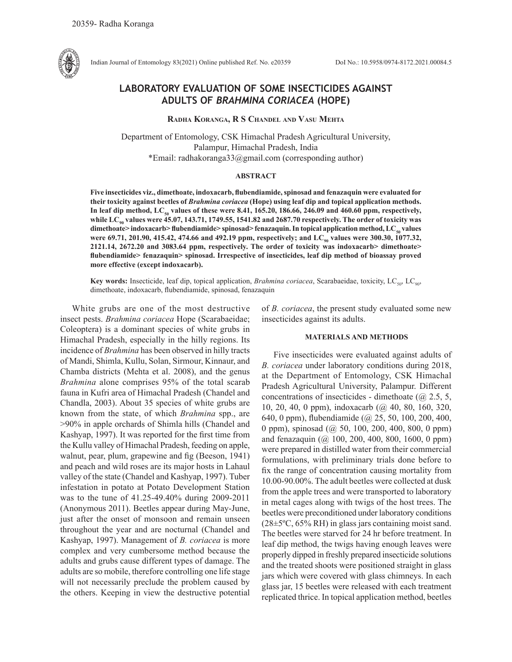

Indian Journal of Entomology 83(2021) Online published Ref. No. e20359 DoI No.: 10.5958/0974-8172.2021.00084.5

# **LABORATORY EVALUATION OF SOME INSECTICIDES AGAINST ADULTS OF** *BRAHMINA CORIACEA* **(HOPE)**

**Radha Koranga, R S Chandel and Vasu Mehta**

Department of Entomology, CSK Himachal Pradesh Agricultural University, Palampur, Himachal Pradesh, India \*Email: radhakoranga33@gmail.com (corresponding author)

## **ABSTRACT**

**Five insecticides viz., dimethoate, indoxacarb, flubendiamide, spinosad and fenazaquin were evaluated for their toxicity against beetles of** *Brahmina coriacea* **(Hope) using leaf dip and topical application methods. In leaf dip method, LC50 values of these were 8.41, 165.20, 186.66, 246.09 and 460.60 ppm, respectively, while LC90 values were 45.07, 143.71, 1749.55, 1541.82 and 2687.70 respectively. The order of toxicity was**  dimethoate> indoxacarb> flubendiamide> spinosad> fenazaquin. In topical application method, LC<sub>so</sub> values were 69.71, 201.90, 415.42, 474.66 and 492.19 ppm, respectively; and LC<sub>90</sub> values were 300.30, 1077.32, **2121.14, 2672.20 and 3083.64 ppm, respectively. The order of toxicity was indoxacarb> dimethoate> flubendiamide> fenazaquin> spinosad. Irrespective of insecticides, leaf dip method of bioassay proved more effective (except indoxacarb).** 

Key words: Insecticide, leaf dip, topical application, *Brahmina coriacea*, Scarabaeidae, toxicity, LC<sub>50</sub>, LC<sub>90</sub>, dimethoate, indoxacarb, flubendiamide, spinosad, fenazaquin

White grubs are one of the most destructive insect pests. *Brahmina coriacea* Hope (Scarabaeidae; Coleoptera) is a dominant species of white grubs in Himachal Pradesh, especially in the hilly regions. Its incidence of *Brahmina* has been observed in hilly tracts of Mandi, Shimla, Kullu, Solan, Sirmour, Kinnaur, and Chamba districts (Mehta et al. 2008), and the genus *Brahmina* alone comprises 95% of the total scarab fauna in Kufri area of Himachal Pradesh (Chandel and Chandla, 2003). About 35 species of white grubs are known from the state, of which *Brahmina* spp., are >90% in apple orchards of Shimla hills (Chandel and Kashyap, 1997). It was reported for the first time from the Kullu valley of Himachal Pradesh, feeding on apple, walnut, pear, plum, grapewine and fig (Beeson, 1941) and peach and wild roses are its major hosts in Lahaul valley of the state (Chandel and Kashyap, 1997). Tuber infestation in potato at Potato Development Station was to the tune of 41.25-49.40% during 2009-2011 (Anonymous 2011). Beetles appear during May-June, just after the onset of monsoon and remain unseen throughout the year and are nocturnal (Chandel and Kashyap, 1997). Management of *B. coriacea* is more complex and very cumbersome method because the adults and grubs cause different types of damage. The adults are so mobile, therefore controlling one life stage will not necessarily preclude the problem caused by the others. Keeping in view the destructive potential of *B. coriacea*, the present study evaluated some new insecticides against its adults.

#### **MATERIALS AND METHODS**

Five insecticides were evaluated against adults of *B. coriacea* under laboratory conditions during 2018, at the Department of Entomology, CSK Himachal Pradesh Agricultural University, Palampur. Different concentrations of insecticides - dimethoate ( $\omega$ ) 2.5, 5, 10, 20, 40, 0 ppm), indoxacarb (@ 40, 80, 160, 320, 640, 0 ppm), flubendiamide (@ 25, 50, 100, 200, 400, 0 ppm), spinosad (@ 50, 100, 200, 400, 800, 0 ppm) and fenazaquin (@ 100, 200, 400, 800, 1600, 0 ppm) were prepared in distilled water from their commercial formulations, with preliminary trials done before to fix the range of concentration causing mortality from 10.00-90.00%. The adult beetles were collected at dusk from the apple trees and were transported to laboratory in metal cages along with twigs of the host trees. The beetles were preconditioned under laboratory conditions (28±5ºC, 65% RH) in glass jars containing moist sand. The beetles were starved for 24 hr before treatment. In leaf dip method, the twigs having enough leaves were properly dipped in freshly prepared insecticide solutions and the treated shoots were positioned straight in glass jars which were covered with glass chimneys. In each glass jar, 15 beetles were released with each treatment replicated thrice. In topical application method, beetles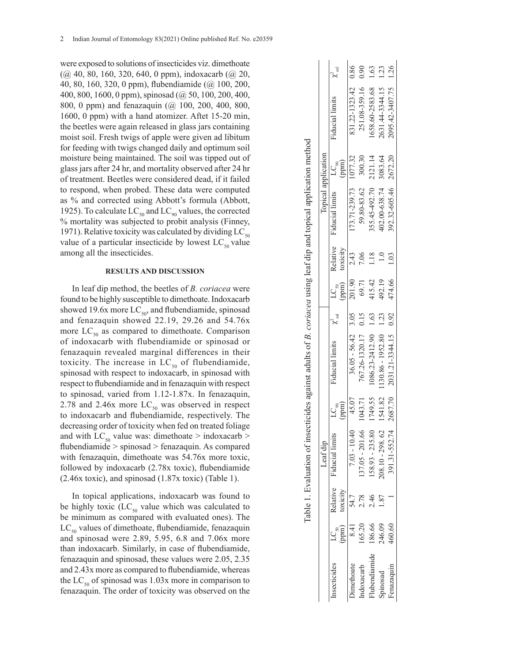were exposed to solutions of insecticides viz. dimethoate (@ 40, 80, 160, 320, 640, 0 ppm), indoxacarb (@ 20, 40, 80, 160, 320, 0 ppm), flubendiamide (@ 100, 200, 400, 800, 1600, 0 ppm), spinosad (@ 50, 100, 200, 400, 800, 0 ppm) and fenazaquin (@ 100, 200, 400, 800, 1600, 0 ppm) with a hand atomizer. Aftet 15-20 min, the beetles were again released in glass jars containing moist soil. Fresh twigs of apple were given ad libitum for feeding with twigs changed daily and optimum soil moisture being maintained. The soil was tipped out of glass jars after 24 hr, and mortality observed after 24 hr of treatment. Beetles were considered dead, if it failed to respond, when probed. These data were computed as % and corrected using Abbott's formula (Abbott, 1925). To calculate  $LC_{50}$  and  $LC_{90}$  values, the corrected % mortality was subjected to probit analysis (Finney, 1971). Relative toxicity was calculated by dividing  $LC_{50}$ value of a particular insecticide by lowest  $LC_{50}$  value among all the insecticides.

### **RESULTS AND DISCUSSION**

In leaf dip method, the beetles of *B. coriacea* were found to be highly susceptible to dimethoate. Indoxacarb showed 19.6x more  $LC_{50}$ , and flubendiamide, spinosad and fenazaquin showed 22.19, 29.26 and 54.76x more  $LC_{50}$  as compared to dimethoate. Comparison of indoxacarb with flubendiamide or spinosad or fenazaquin revealed marginal differences in their toxicity. The increase in  $LC_{50}$  of flubendiamide, spinosad with respect to indoxacarb, in spinosad with respect to flubendiamide and in fenazaquin with respect to spinosad, varied from 1.12-1.87x. In fenazaquin, 2.78 and 2.46x more  $LC_{50}$  was observed in respect to indoxacarb and flubendiamide, respectively. The decreasing order of toxicity when fed on treated foliage and with  $LC_{50}$  value was: dimethoate > indoxacarb > flubendiamide > spinosad > fenazaquin. As compared with fenazaquin, dimethoate was 54.76x more toxic, followed by indoxacarb (2.78x toxic), flubendiamide (2.46x toxic), and spinosad (1.87x toxic) (Table 1).

In topical applications, indoxacarb was found to be highly toxic  $(LC_{50}$  value which was calculated to be minimum as compared with evaluated ones). The  $LC_{50}$  values of dimethoate, flubendiamide, fenazaquin and spinosad were 2.89, 5.95, 6.8 and 7.06x more than indoxacarb. Similarly, in case of flubendiamide, fenazaquin and spinosad, these values were 2.05, 2.35 and 2.43x more as compared to flubendiamide, whereas the  $LC_{50}$  of spinosad was 1.03x more in comparison to fenazaquin. The order of toxicity was observed on the

|                   |                                                 |          |                          |                           | Table 1. Evaluation of insecticides against adults of <i>B. coriacea</i> using leaf dip and topical application method |      |                    |                      |                       |                       |                     |       |
|-------------------|-------------------------------------------------|----------|--------------------------|---------------------------|------------------------------------------------------------------------------------------------------------------------|------|--------------------|----------------------|-----------------------|-----------------------|---------------------|-------|
|                   |                                                 |          | Leaf dip                 |                           |                                                                                                                        |      |                    |                      |                       | Topical application   |                     |       |
| nsecticides       | $\overset{\text{LC}_{\text{SO}}}{\text{(ppm)}}$ | toxicity | Relative Fiducial limits | $L_{\rm Q\oplus}^{\rm s}$ | Fiducial limits $\chi^2_{\rm cal}$                                                                                     |      | $LC_{50}$<br>(ppm) | Relative<br>toxicity | Fiducial limits       | (mdd<br>$LC_{\rm on}$ | Fiducial limits     | , cal |
| <i>i</i> methoate | 8.41                                            | 54.7     | $7.03 - 10.4$            | 45.07                     | $36.05 - 56.42$ 3.05                                                                                                   |      | 201.90             | 2.43                 | 173.71-239.73 1077.32 |                       | 831.22-1323.42 0.86 |       |
| doxacarb          | 165.20                                          | 2.78     | 137.05 - 201.66          | 1043.71                   | 767.26-1320.17                                                                                                         | 0.15 | 69.71              | 7.06                 | 59.80-83.62           | 300.30                | 251.08-359.16       | 0.90  |
| lubendiamide      | 186.66                                          | 2.46     | $158.93 - 235.80$        | 1749.55                   | 1086.23-2412.90 1.63                                                                                                   |      | 415.42             |                      | 355.45-492.70         | 2121.14               | 1658.60-2583.68     | 1.63  |
| pinosad           | 246.09                                          | 1.87     | 208.10 - 298.62          | 1541.82                   | 1130.86 - 1952.80 1.23                                                                                                 |      | 492.19             |                      | 402.00-638.74         | 3083.64               | 2631.44-3344.15     | 1.23  |
| enazaquin         | 460.60                                          |          | 391.31-552.74            | 2687.70                   | 2031.21-3344.15 0.92                                                                                                   |      | 474.66             |                      | 392.32-605.46         | 2672.20               | 2095.42-3407.75     | 1.26  |
|                   |                                                 |          |                          |                           |                                                                                                                        |      |                    |                      |                       |                       |                     |       |